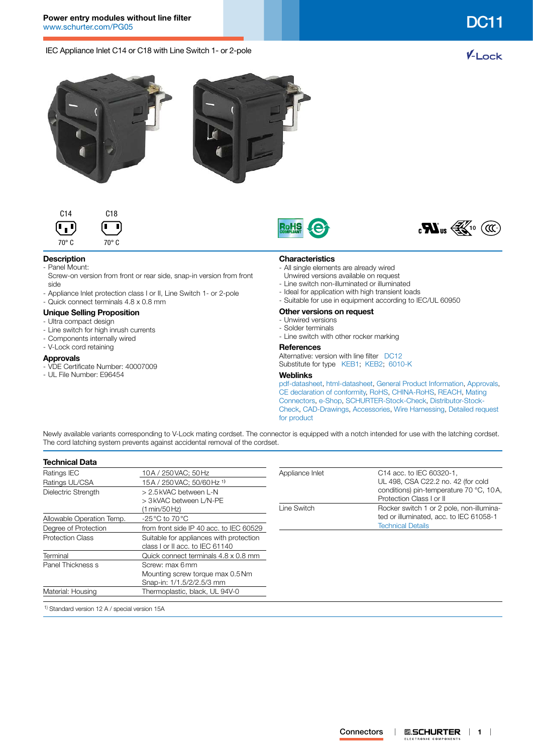IEC Appliance Inlet C14 or C18 with Line Switch 1- or 2-pole











# **Description**

- Panel Mount:
- Screw-on version from front or rear side, snap-in version from front side
- Appliance Inlet protection class I or II, Line Switch 1- or 2-pole
- Quick connect terminals 4.8 x 0.8 mm

### **Unique Selling Proposition**

- Ultra compact design
- Line switch for high inrush currents
- Components internally wired
- V-Lock cord retaining

### **Approvals**

- VDE Certificate Number: 40007009
- UL File Number: E96454

### **Characteristics**

- All single elements are already wired
- Unwired versions available on request
- Line switch non-illuminated or illuminated
- Ideal for application with high transient loads
- Suitable for use in equipment according to IEC/UL 60950
- **Other versions on request**
- Unwired versions
- Solder terminals
- Line switch with other rocker marking

### **References**

Alternative: version with line filter [DC12](http://www.schurter.ch/pdf/english/typ_DC12.pdf) Substitute for type [KEB1](http://www.schurter.ch/pdf/english/typ_KEB1.pdf); [KEB2;](http://www.schurter.ch/pdf/english/typ_KEB2.pdf) [6010-K](http://www.schurter.ch/pdf/english/typ_6010-K.pdf)

## **Weblinks**

[pdf-datasheet](http://www.schurter.ch/pdf/english/typ_DC11.pdf), [html-datasheet](http://www.schurter.ch/en/datasheet/DC11), [General Product Information,](http://www.schurter.ch/products/iec_connector_overview.asp) [Approvals](http://www.schurter.ch/en//Documents-References/Approvals/(id)/DC11), [CE declaration of conformity,](http://www.schurter.com/en//Documents-References/Approvals/(id)/DC11+AND+FIELD+CertificationInstitute=SAG) [RoHS](http://www.schurter.ch/company/rohs.asp), [CHINA-RoHS](http://www.schurter.ch/company/china_rohs.asp), [REACH,](http://www.schurter.ch/REACH) [Mating](http://www.schurter.ch/Components/Connectors/Mating-Connectors)  [Connectors,](http://www.schurter.ch/Components/Connectors/Mating-Connectors) [e-Shop,](http://www.schurter.ch/en/datasheet/DC11#Anker_Variants) [SCHURTER-Stock-Check](http://www.schurter.ch/Stock-Check/Stock-Check-SCHURTER?MAKTX=DC11&COM_QTY=1&AUTOSEARCH=true), [Distributor-Stock-](http://www.schurter.com/Stock-Check/Stock-Check-Distributor?partnumber1=DC11)[Check](http://www.schurter.com/Stock-Check/Stock-Check-Distributor?partnumber1=DC11), [CAD-Drawings,](http://www.schurter.com/support/iframe_cad.asp?SearchText=DC11&ConfirmButton&SearchFilter=Type) [Accessories,](http://www.schurter.ch/wwwsc/con_z01.asp) [Wire Harnessing,](http://www.schurter.com/Components/Connectors/Wire-Harness-Request/(typ)/DC11) [Detailed request](http://www.schurter.com/Contacts/Contact-Form?type=DC11)  [for product](http://www.schurter.com/Contacts/Contact-Form?type=DC11)

Newly available variants corresponding to V-Lock mating cordset. The connector is equipped with a notch intended for use with the latching cordset. The cord latching system prevents against accidental removal of the cordset.

| <b>Technical Data</b>     |                                                                            |                 |                                                                     |  |  |
|---------------------------|----------------------------------------------------------------------------|-----------------|---------------------------------------------------------------------|--|--|
| Ratings IEC               | 10A / 250 VAC; 50 Hz                                                       | Appliance Inlet | C14 acc. to IEC 60320-1,                                            |  |  |
| Ratings UL/CSA            | 15A / 250 VAC: 50/60 Hz <sup>1)</sup>                                      |                 | UL 498, CSA C22.2 no. 42 (for cold                                  |  |  |
| Dielectric Strength       | > 2.5 kVAC between L-N<br>> 3 kVAC between L/N-PE                          |                 | conditions) pin-temperature 70 °C, 10A,<br>Protection Class I or II |  |  |
|                           | (1 min/50 Hz)                                                              | Line Switch     | Rocker switch 1 or 2 pole, non-illumina-                            |  |  |
| Allowable Operation Temp. | $-25\,^{\circ}\text{C}$ to 70 $^{\circ}\text{C}$                           |                 | ted or illuminated, acc. to IEC 61058-1                             |  |  |
| Degree of Protection      | from front side IP 40 acc. to IEC 60529                                    |                 | <b>Technical Details</b>                                            |  |  |
| <b>Protection Class</b>   | Suitable for appliances with protection<br>class I or II acc. to IEC 61140 |                 |                                                                     |  |  |
| Terminal                  | Quick connect terminals 4.8 x 0.8 mm                                       |                 |                                                                     |  |  |
| Panel Thickness s         | Screw: max 6mm                                                             |                 |                                                                     |  |  |
|                           | Mounting screw torque max 0.5 Nm                                           |                 |                                                                     |  |  |
|                           | Snap-in: 1/1.5/2/2.5/3 mm                                                  |                 |                                                                     |  |  |
| Material: Housing         | Thermoplastic, black, UL 94V-0                                             |                 |                                                                     |  |  |

1) Standard version 12 A / special version 15A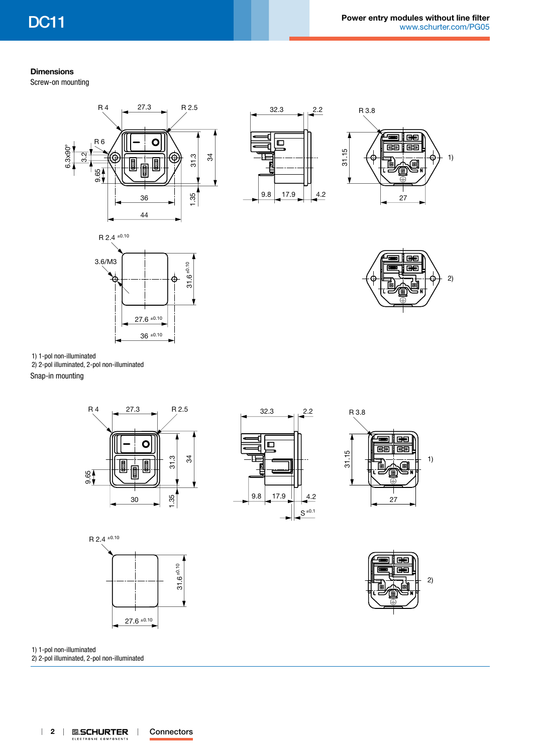1)

2)

## **Dimensions**

Screw-on mounting



1) 1-pol non-illuminated

2) 2-pol illuminated, 2-pol non-illuminated

Snap-in mounting



27.6 ±0.10

±0.10 36









1) 1-pol non-illuminated

2) 2-pol illuminated, 2-pol non-illuminated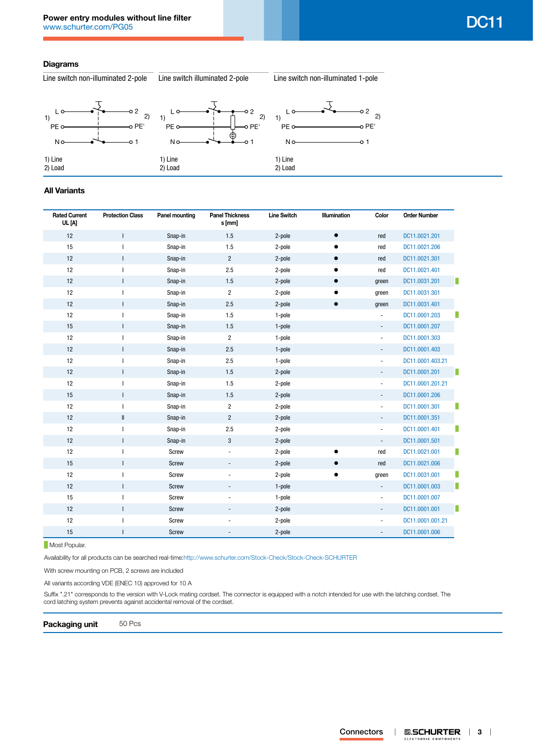## **Diagrams**

Line switch non-illuminated 2-pole Line switch illuminated 2-pole Line switch non-illuminated 1-pole



## **All Variants**

| <b>Rated Current</b><br>UL [A] | <b>Protection Class</b> | <b>Panel mounting</b> | <b>Panel Thickness</b><br>s [mm] | <b>Line Switch</b> | Illumination | Color                    | <b>Order Number</b> |
|--------------------------------|-------------------------|-----------------------|----------------------------------|--------------------|--------------|--------------------------|---------------------|
| 12                             | $\mathsf{I}$            | Snap-in               | 1.5                              | 2-pole             | $\bullet$    | red                      | DC11.0021.201       |
| 15                             |                         | Snap-in               | 1.5                              | 2-pole             |              | red                      | DC11.0021.206       |
| 12                             | L                       | Snap-in               | $\overline{2}$                   | 2-pole             | $\bullet$    | red                      | DC11.0021.301       |
| 12                             | I                       | Snap-in               | 2.5                              | 2-pole             |              | red                      | DC11.0021.401       |
| 12                             | $\mathsf{I}$            | Snap-in               | 1.5                              | 2-pole             | $\bullet$    | green                    | DC11.0031.201       |
| 12                             | ı                       | Snap-in               | 2                                | 2-pole             |              | green                    | DC11.0031.301       |
| 12                             | $\mathsf{I}$            | Snap-in               | 2.5                              | 2-pole             | $\bullet$    | green                    | DC11.0031.401       |
| 12                             | ı                       | Snap-in               | 1.5                              | 1-pole             |              | $\overline{\phantom{a}}$ | DC11.0001.203       |
| 15                             | $\mathsf{I}$            | Snap-in               | 1.5                              | 1-pole             |              | $\overline{\phantom{a}}$ | DC11.0001.207       |
| 12                             |                         | Snap-in               | $\overline{2}$                   | 1-pole             |              | $\blacksquare$           | DC11.0001.303       |
| 12                             | T                       | Snap-in               | 2.5                              | 1-pole             |              | $\overline{\phantom{0}}$ | DC11.0001.403       |
| 12                             |                         | Snap-in               | 2.5                              | 1-pole             |              | $\blacksquare$           | DC11.0001.403.21    |
| 12                             | $\mathsf{I}$            | Snap-in               | 1.5                              | 2-pole             |              | $\overline{\phantom{a}}$ | DC11.0001.201       |
| 12                             |                         | Snap-in               | 1.5                              | 2-pole             |              | $\overline{\phantom{a}}$ | DC11.0001.201.21    |
| 15                             | $\mathsf{I}$            | Snap-in               | 1.5                              | 2-pole             |              | -                        | DC11.0001.206       |
| 12                             | L                       | Snap-in               | $\overline{2}$                   | 2-pole             |              | $\overline{\phantom{a}}$ | DC11.0001.301       |
| 12                             | $\mathop{  }$           | Snap-in               | $\overline{c}$                   | 2-pole             |              | $\overline{\phantom{a}}$ | DC11.0001.351       |
| 12                             | $\mathbf{I}$            | Snap-in               | 2.5                              | 2-pole             |              | -                        | DC11.0001.401       |
| 12                             | T                       | Snap-in               | 3                                | 2-pole             |              | $\overline{\phantom{a}}$ | DC11.0001.501       |
| 12                             |                         | Screw                 |                                  | 2-pole             |              | red                      | DC11.0021.001       |
| 15                             | L                       | Screw                 |                                  | 2-pole             | $\bullet$    | red                      | DC11.0021.006       |
| 12                             | ı                       | Screw                 |                                  | 2-pole             |              | green                    | DC11.0031.001       |
| 12                             | $\mathsf{I}$            | Screw                 |                                  | 1-pole             |              | $\blacksquare$           | DC11.0001.003       |
| 15                             |                         | Screw                 |                                  | 1-pole             |              | $\overline{\phantom{a}}$ | DC11.0001.007       |
| 12                             | $\mathsf{I}$            | Screw                 |                                  | 2-pole             |              | $\overline{\phantom{a}}$ | DC11.0001.001       |
| 12                             |                         | Screw                 |                                  | 2-pole             |              | $\overline{\phantom{a}}$ | DC11.0001.001.21    |
| 15                             | T                       | Screw                 |                                  | 2-pole             |              |                          | DC11.0001.006       |

**Most Popular.** 

Availability for all products can be searched real-time[:http://www.schurter.com/Stock-Check/Stock-Check-SCHURTER](http://www.schurter.com/Stock-Check/Stock-Check-SCHURTER)

With screw mounting on PCB, 2 screws are included

All variants according VDE (ENEC 10) approved for 10 A

Suffix ".21" corresponds to the version with V-Lock mating cordset. The connector is equipped with a notch intended for use with the latching cordset. The cord latching system prevents against accidental removal of the cordset.

**Packaging unit** 50 Pcs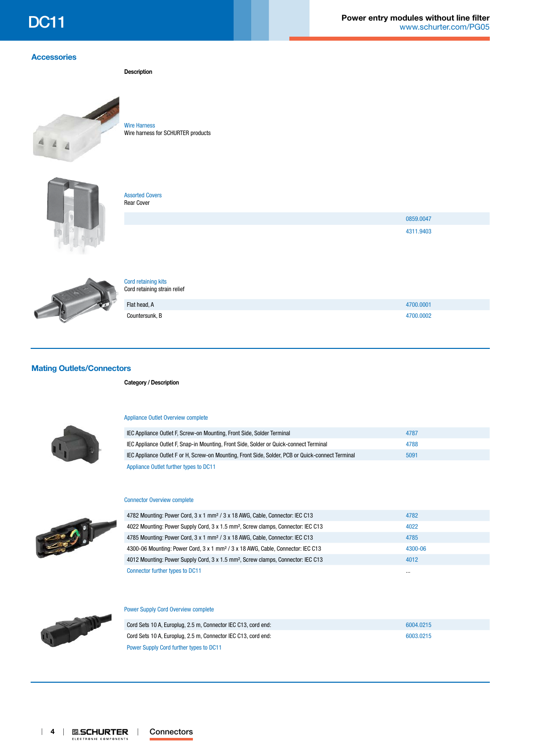[0859.0047](http://www.schurter.ch/part/0859.0047) [4311.9403](http://www.schurter.ch/part/4311.9403)

## **[Accessories](http://www.schurter.ch/wwwsc/con_z01.asp)**

**Description**



[Wire Harness](http://www.schurter.ch/pdf/english/typ_Wire_Harness.pdf) Wire harness for SCHURTER products



[Assorted Covers](http://www.schurter.ch/pdf/english/typ_Assorted_Covers.pdf)



Rear Cover



### [Cord retaining kits](http://www.schurter.ch/pdf/english/typ_Cord_retaining_kits.pdf) Cord retaining strain relief

| Flat head, A   | 4700.0001 |
|----------------|-----------|
| Countersunk, B | 4700.0002 |

## **[Mating Outlets/Connectors](http://www.schurter.ch/Components/Connectors/Mating-Connectors?in_type=DC11)**

**Category / Description**



### [Appliance Outlet Overview complete](http://www.schurter.ch/pg07)

| IEC Appliance Outlet F, Screw-on Mounting, Front Side, Solder Terminal                            | 4787 |
|---------------------------------------------------------------------------------------------------|------|
| IEC Appliance Outlet F, Snap-in Mounting, Front Side, Solder or Quick-connect Terminal            | 4788 |
| IEC Appliance Outlet F or H, Screw-on Mounting, Front Side, Solder, PCB or Quick-connect Terminal | 5091 |
| Appliance Outlet further types to DC11                                                            |      |



Sept.

### [Connector Overview complete](http://www.schurter.ch/pg07b)

| 4782 Mounting: Power Cord, 3 x 1 mm <sup>2</sup> / 3 x 18 AWG, Cable, Connector: IEC C13     | 4782     |
|----------------------------------------------------------------------------------------------|----------|
| 4022 Mounting: Power Supply Cord, 3 x 1.5 mm <sup>2</sup> , Screw clamps, Connector: IEC C13 | 4022     |
| 4785 Mounting: Power Cord, 3 x 1 mm <sup>2</sup> / 3 x 18 AWG, Cable, Connector: IEC C13     | 4785     |
| 4300-06 Mounting: Power Cord, 3 x 1 mm <sup>2</sup> / 3 x 18 AWG, Cable, Connector: IEC C13  | 4300-06  |
| 4012 Mounting: Power Supply Cord, 3 x 1.5 mm <sup>2</sup> , Screw clamps, Connector: IEC C13 | 4012     |
| Connector further types to DC11                                                              | $\cdots$ |

## [Power Supply Cord Overview complete](http://www.schurter.ch/pg07_2)

| Cord Sets 10 A, Europlug, 2.5 m, Connector IEC C13, cord end: | 6004.0215 |
|---------------------------------------------------------------|-----------|
| Cord Sets 10 A, Europlug, 2.5 m, Connector IEC C13, cord end: | 6003.0215 |
| Power Supply Cord further types to DC11                       |           |